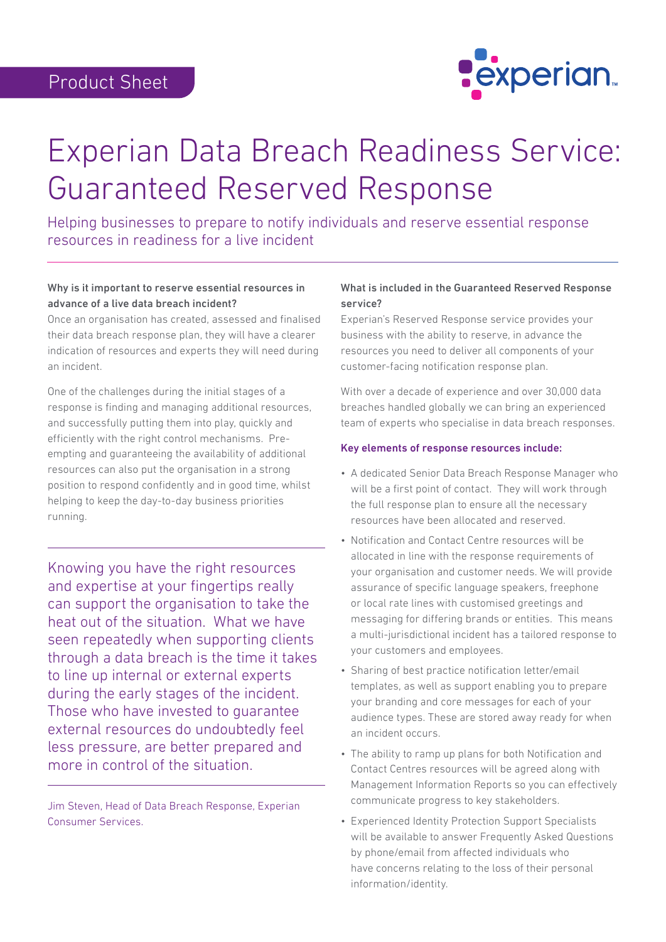

# Experian Data Breach Readiness Service: Guaranteed Reserved Response

Helping businesses to prepare to notify individuals and reserve essential response resources in readiness for a live incident

## Why is it important to reserve essential resources in advance of a live data breach incident?

Once an organisation has created, assessed and finalised their data breach response plan, they will have a clearer indication of resources and experts they will need during an incident.

One of the challenges during the initial stages of a response is finding and managing additional resources, and successfully putting them into play, quickly and efficiently with the right control mechanisms. Preempting and guaranteeing the availability of additional resources can also put the organisation in a strong position to respond confidently and in good time, whilst helping to keep the day-to-day business priorities running.

Knowing you have the right resources and expertise at your fingertips really can support the organisation to take the heat out of the situation. What we have seen repeatedly when supporting clients through a data breach is the time it takes to line up internal or external experts during the early stages of the incident. Those who have invested to guarantee external resources do undoubtedly feel less pressure, are better prepared and more in control of the situation.

Jim Steven, Head of Data Breach Response, Experian Consumer Services.

## What is included in the Guaranteed Reserved Response service?

Experian's Reserved Response service provides your business with the ability to reserve, in advance the resources you need to deliver all components of your customer-facing notification response plan.

With over a decade of experience and over 30,000 data breaches handled globally we can bring an experienced team of experts who specialise in data breach responses.

## Key elements of response resources include:

- A dedicated Senior Data Breach Response Manager who will be a first point of contact. They will work through the full response plan to ensure all the necessary resources have been allocated and reserved.
- Notification and Contact Centre resources will be allocated in line with the response requirements of your organisation and customer needs. We will provide assurance of specific language speakers, freephone or local rate lines with customised greetings and messaging for differing brands or entities. This means a multi-jurisdictional incident has a tailored response to your customers and employees.
- Sharing of best practice notification letter/email templates, as well as support enabling you to prepare your branding and core messages for each of your audience types. These are stored away ready for when an incident occurs.
- The ability to ramp up plans for both Notification and Contact Centres resources will be agreed along with Management Information Reports so you can effectively communicate progress to key stakeholders.
- Experienced Identity Protection Support Specialists will be available to answer Frequently Asked Questions by phone/email from affected individuals who have concerns relating to the loss of their personal information/identity.